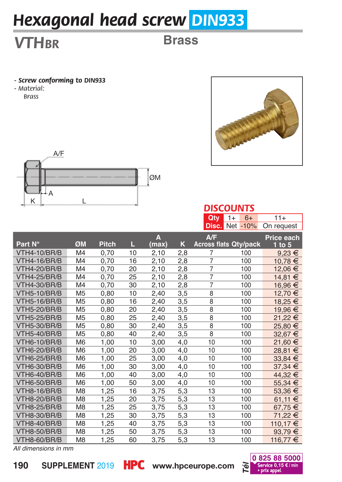# *Hexagonal head screw DIN933*

## *VTHbr*

### **Brass**

- *Screw conforming to DIN933*
- *Material: Brass*





#### *DISCOUNTS*

|                     |                |              |    |       |     | Qty            | $1+$<br>$6+$                 | 11+         |
|---------------------|----------------|--------------|----|-------|-----|----------------|------------------------------|-------------|
|                     |                |              |    |       |     |                | <b>Disc.</b> Net -10%        | On request  |
|                     |                |              |    | A     |     | A/F            |                              | Price each  |
| Part N°             | ØM             | <b>Pitch</b> | Ш  | (max) | κ   |                | <b>Across flats Qty/pack</b> | $1$ to $5$  |
| <b>VTH4-10/BR/B</b> | M4             | 0,70         | 10 | 2.10  | 2,8 | 7              | 100                          | $9,23 \in$  |
| <b>VTH4-16/BR/B</b> | M4             | 0,70         | 16 | 2,10  | 2,8 | $\overline{7}$ | 100                          | 10,78€      |
| <b>VTH4-20/BR/B</b> | M4             | 0,70         | 20 | 2,10  | 2,8 | $\overline{7}$ | 100                          | 12,06 €     |
| <b>VTH4-25/BR/B</b> | M4             | 0,70         | 25 | 2,10  | 2,8 | $\overline{7}$ | 100                          | 14,81 €     |
| <b>VTH4-30/BR/B</b> | M4             | 0,70         | 30 | 2,10  | 2,8 | $\overline{7}$ | 100                          | 16,96 €     |
| <b>VTH5-10/BR/B</b> | M <sub>5</sub> | 0,80         | 10 | 2,40  | 3,5 | 8              | 100                          | 12,70 €     |
| <b>VTH5-16/BR/B</b> | M <sub>5</sub> | 0,80         | 16 | 2,40  | 3,5 | 8              | 100                          | 18,25 €     |
| <b>VTH5-20/BR/B</b> | M <sub>5</sub> | 0,80         | 20 | 2,40  | 3,5 | $\overline{8}$ | 100                          | 19,96 €     |
| <b>VTH5-25/BR/B</b> | M <sub>5</sub> | 0,80         | 25 | 2,40  | 3,5 | 8              | 100                          | 21,22 €     |
| <b>VTH5-30/BR/B</b> | M <sub>5</sub> | 0,80         | 30 | 2,40  | 3,5 | 8              | 100                          | 25,80 €     |
| <b>VTH5-40/BR/B</b> | M <sub>5</sub> | 0,80         | 40 | 2,40  | 3,5 | $\overline{8}$ | 100                          | 32,67 €     |
| <b>VTH6-10/BR/B</b> | M <sub>6</sub> | 1,00         | 10 | 3,00  | 4,0 | 10             | 100                          | 21,60 €     |
| <b>VTH6-20/BR/B</b> | M <sub>6</sub> | 1,00         | 20 | 3,00  | 4,0 | 10             | 100                          | 28,81 €     |
| <b>VTH6-25/BR/B</b> | M <sub>6</sub> | 1,00         | 25 | 3,00  | 4,0 | 10             | 100                          | $33,84 \in$ |
| VTH6-30/BR/B        | M <sub>6</sub> | 1,00         | 30 | 3,00  | 4,0 | 10             | 100                          | $37,34 \in$ |
| VTH6-40/BR/B        | M <sub>6</sub> | 1,00         | 40 | 3,00  | 4,0 | 10             | 100                          | 44,32 €     |
| <b>VTH6-50/BR/B</b> | M <sub>6</sub> | 1,00         | 50 | 3,00  | 4,0 | 10             | 100                          | 55,34 €     |
| <b>VTH8-16/BR/B</b> | M <sub>8</sub> | 1,25         | 16 | 3,75  | 5,3 | 13             | 100                          | 53,36 €     |
| <b>VTH8-20/BR/B</b> | M8             | 1,25         | 20 | 3,75  | 5,3 | 13             | 100                          | 61.11 €     |
| <b>VTH8-25/BR/B</b> | M <sub>8</sub> | 1,25         | 25 | 3,75  | 5,3 | 13             | 100                          | 67,75€      |
| <b>VTH8-30/BR/B</b> | M <sub>8</sub> | 1,25         | 30 | 3,75  | 5,3 | 13             | 100                          | 71,22 €     |
| <b>VTH8-40/BR/B</b> | M8             | 1,25         | 40 | 3,75  | 5,3 | 13             | 100                          | 110,17 €    |
| <b>VTH8-50/BR/B</b> | M <sub>8</sub> | 1,25         | 50 | 3,75  | 5,3 | 13             | 100                          | 93,79€      |
| VTH8-60/BR/B        | M <sub>8</sub> | 1,25         | 60 | 3,75  | 5,3 | 13             | 100                          | 116,77 €    |

*All dimensions in mm*